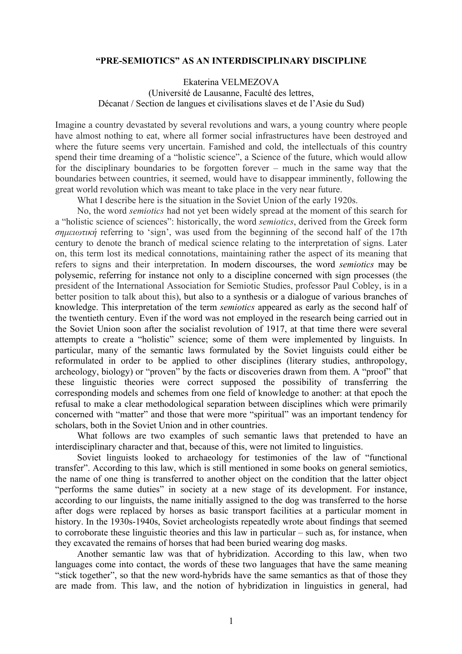## **"PRE-SEMIOTICS" AS AN INTERDISCIPLINARY DISCIPLINE**

Ekaterina VELMEZOVA (Université de Lausanne, Faculté des lettres, Décanat / Section de langues et civilisations slaves et de l'Asie du Sud)

Imagine a country devastated by several revolutions and wars, a young country where people have almost nothing to eat, where all former social infrastructures have been destroyed and where the future seems very uncertain. Famished and cold, the intellectuals of this country spend their time dreaming of a "holistic science", a Science of the future, which would allow for the disciplinary boundaries to be forgotten forever – much in the same way that the boundaries between countries, it seemed, would have to disappear imminently, following the great world revolution which was meant to take place in the very near future.

What I describe here is the situation in the Soviet Union of the early 1920s.

No, the word *semiotics* had not yet been widely spread at the moment of this search for a "holistic science of sciences": historically, the word *semiotics*, derived from the Greek form *σηµειωτική* referring to 'sign', was used from the beginning of the second half of the 17th century to denote the branch of medical science relating to the interpretation of signs. Later on, this term lost its medical connotations, maintaining rather the aspect of its meaning that refers to signs and their interpretation. In modern discourses, the word *semiotics* may be polysemic, referring for instance not only to a discipline concerned with sign processes (the president of the International Association for Semiotic Studies, professor Paul Cobley, is in a better position to talk about this), but also to a synthesis or a dialogue of various branches of knowledge. This interpretation of the term *semiotics* appeared as early as the second half of the twentieth century. Even if the word was not employed in the research being carried out in the Soviet Union soon after the socialist revolution of 1917, at that time there were several attempts to create a "holistic" science; some of them were implemented by linguists. In particular, many of the semantic laws formulated by the Soviet linguists could either be reformulated in order to be applied to other disciplines (literary studies, anthropology, archeology, biology) or "proven" by the facts or discoveries drawn from them. A "proof" that these linguistic theories were correct supposed the possibility of transferring the corresponding models and schemes from one field of knowledge to another: at that epoch the refusal to make a clear methodological separation between disciplines which were primarily concerned with "matter" and those that were more "spiritual" was an important tendency for scholars, both in the Soviet Union and in other countries.

What follows are two examples of such semantic laws that pretended to have an interdisciplinary character and that, because of this, were not limited to linguistics.

Soviet linguists looked to archaeology for testimonies of the law of "functional transfer". According to this law, which is still mentioned in some books on general semiotics, the name of one thing is transferred to another object on the condition that the latter object "performs the same duties" in society at a new stage of its development. For instance, according to our linguists, the name initially assigned to the dog was transferred to the horse after dogs were replaced by horses as basic transport facilities at a particular moment in history. In the 1930s-1940s, Soviet archeologists repeatedly wrote about findings that seemed to corroborate these linguistic theories and this law in particular – such as, for instance, when they excavated the remains of horses that had been buried wearing dog masks.

Another semantic law was that of hybridization. According to this law, when two languages come into contact, the words of these two languages that have the same meaning "stick together", so that the new word-hybrids have the same semantics as that of those they are made from. This law, and the notion of hybridization in linguistics in general, had